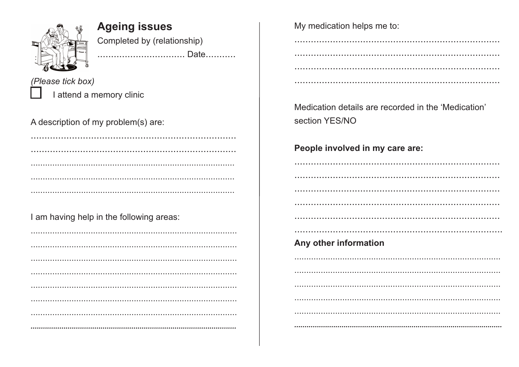

**Ageing issues** Completed by (relationship) .................................. Date...........

(Please tick box) I attend a memory clinic

A description of my problem(s) are:

I am having help in the following areas:

My medication helps me to:

Medication details are recorded in the 'Medication' section YES/NO

#### People involved in my care are:

Any other information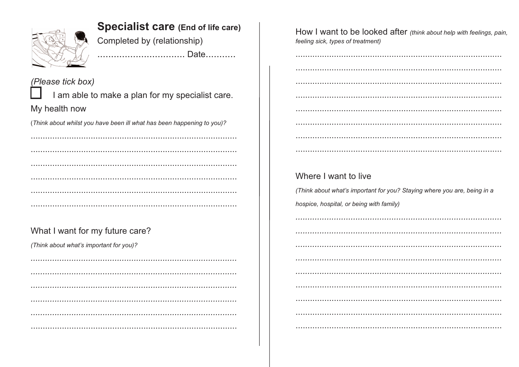

### **Specialist care (End of life care)**

................................. Date...........

Completed by (relationship)

(Please tick box) I am able to make a plan for my specialist care. My health now

(Think about whilst you have been ill what has been happening to you)?

### What I want for my future care?

(Think about what's important for you)?

How I want to be looked after (think about help with feelings, pain, feeling sick, types of treatment)

### Where I want to live

(Think about what's important for you? Staying where you are, being in a hospice, hospital, or being with family)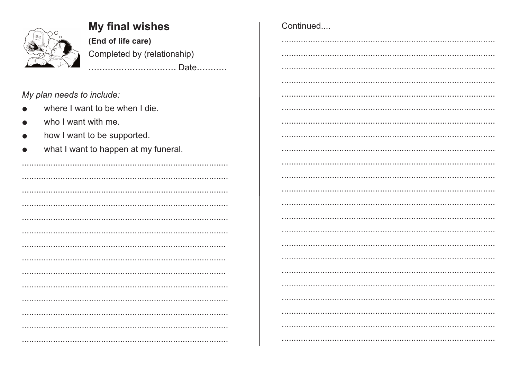

# **My final wishes**

(End of life care) Completed by (relationship)

### My plan needs to include:

- where I want to be when I die.  $\bullet$
- who I want with me.  $\bullet$
- how I want to be supported.  $\bullet$
- what I want to happen at my funeral.  $\bullet$

| Continued |  |
|-----------|--|
|           |  |
|           |  |
|           |  |
|           |  |
|           |  |
|           |  |
|           |  |
|           |  |
|           |  |
|           |  |
|           |  |
|           |  |
|           |  |
|           |  |
|           |  |
|           |  |
|           |  |
|           |  |
|           |  |
|           |  |
|           |  |
|           |  |
|           |  |